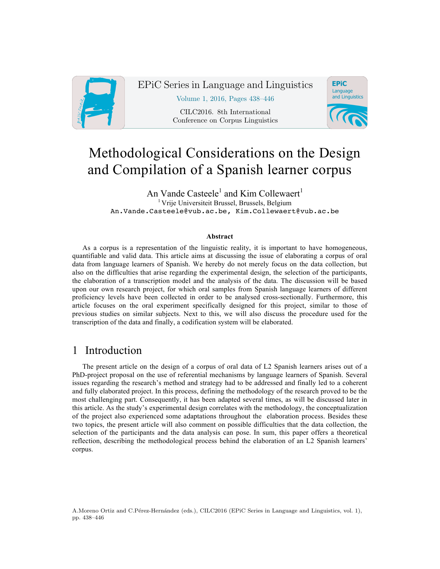

EPiC Series in Language and Linguistics

Volume 1, 2016, Pages 438–446

CILC2016. 8th International Conference on Corpus Linguistics



# Methodological Considerations on the Design and Compilation of a Spanish learner corpus

An Vande Casteele<sup>1</sup> and Kim Collewaert<sup>1</sup> <sup>1</sup> Vrije Universiteit Brussel, Brussels, Belgium An.Vande.Casteele@vub.ac.be, Kim.Collewaert@vub.ac.be

#### **Abstract**

As a corpus is a representation of the linguistic reality, it is important to have homogeneous, quantifiable and valid data. This article aims at discussing the issue of elaborating a corpus of oral data from language learners of Spanish. We hereby do not merely focus on the data collection, but also on the difficulties that arise regarding the experimental design, the selection of the participants, the elaboration of a transcription model and the analysis of the data. The discussion will be based upon our own research project, for which oral samples from Spanish language learners of different proficiency levels have been collected in order to be analysed cross-sectionally. Furthermore, this article focuses on the oral experiment specifically designed for this project, similar to those of previous studies on similar subjects. Next to this, we will also discuss the procedure used for the transcription of the data and finally, a codification system will be elaborated.

## 1 Introduction

The present article on the design of a corpus of oral data of L2 Spanish learners arises out of a PhD-project proposal on the use of referential mechanisms by language learners of Spanish. Several issues regarding the research's method and strategy had to be addressed and finally led to a coherent and fully elaborated project. In this process, defining the methodology of the research proved to be the most challenging part. Consequently, it has been adapted several times, as will be discussed later in this article. As the study's experimental design correlates with the methodology, the conceptualization of the project also experienced some adaptations throughout the elaboration process. Besides these two topics, the present article will also comment on possible difficulties that the data collection, the selection of the participants and the data analysis can pose. In sum, this paper offers a theoretical reflection, describing the methodological process behind the elaboration of an L2 Spanish learners' corpus.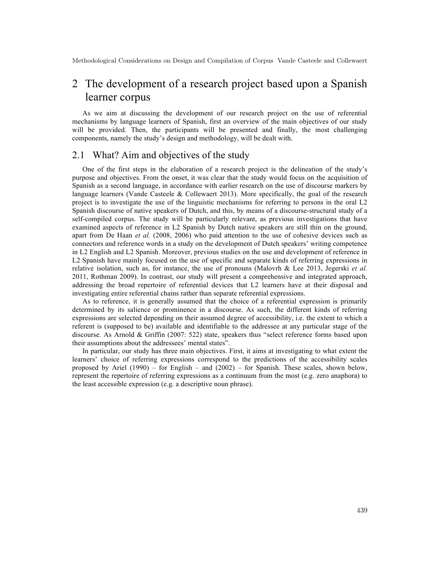## 2 The development of a research project based upon a Spanish learner corpus

As we aim at discussing the development of our research project on the use of referential mechanisms by language learners of Spanish, first an overview of the main objectives of our study will be provided. Then, the participants will be presented and finally, the most challenging components, namely the study's design and methodology, will be dealt with.

## 2.1 What? Aim and objectives of the study

One of the first steps in the elaboration of a research project is the delineation of the study's purpose and objectives. From the onset, it was clear that the study would focus on the acquisition of Spanish as a second language, in accordance with earlier research on the use of discourse markers by language learners (Vande Casteele & Collewaert 2013). More specifically, the goal of the research project is to investigate the use of the linguistic mechanisms for referring to persons in the oral L2 Spanish discourse of native speakers of Dutch, and this, by means of a discourse-structural study of a self-compiled corpus. The study will be particularly relevant, as previous investigations that have examined aspects of reference in L2 Spanish by Dutch native speakers are still thin on the ground, apart from De Haan *et al.* (2008, 2006) who paid attention to the use of cohesive devices such as connectors and reference words in a study on the development of Dutch speakers' writing competence in L2 English and L2 Spanish. Moreover, previous studies on the use and development of reference in L2 Spanish have mainly focused on the use of specific and separate kinds of referring expressions in relative isolation, such as, for instance, the use of pronouns (Malovrh & Lee 2013, Jegerski *et al.*  2011, Rothman 2009). In contrast, our study will present a comprehensive and integrated approach, addressing the broad repertoire of referential devices that L2 learners have at their disposal and investigating entire referential chains rather than separate referential expressions.

As to reference, it is generally assumed that the choice of a referential expression is primarily determined by its salience or prominence in a discourse. As such, the different kinds of referring expressions are selected depending on their assumed degree of accessibility, i.e. the extent to which a referent is (supposed to be) available and identifiable to the addressee at any particular stage of the discourse. As Arnold & Griffin (2007: 522) state, speakers thus "select reference forms based upon their assumptions about the addressees' mental states".

In particular, our study has three main objectives. First, it aims at investigating to what extent the learners' choice of referring expressions correspond to the predictions of the accessibility scales proposed by Ariel (1990) – for English – and  $(2002)$  – for Spanish. These scales, shown below, represent the repertoire of referring expressions as a continuum from the most (e.g. zero anaphora) to the least accessible expression (e.g. a descriptive noun phrase).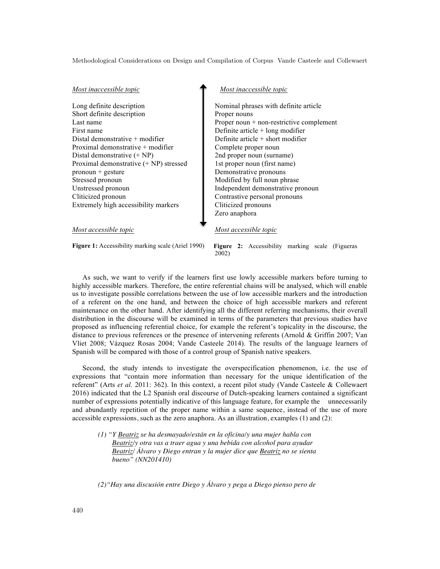#### *Most inaccessible topic*

Long definite description Short definite description Last name First name Distal demonstrative + modifier Proximal demonstrative + modifier Distal demonstrative (+ NP) Proximal demonstrative (+ NP) stressed pronoun + gesture Stressed pronoun Unstressed pronoun Cliticized pronoun Extremely high accessibility markers

#### *Most inaccessible topic*

Nominal phrases with definite article Proper nouns Proper noun + non-restrictive complement Definite article + long modifier Definite article + short modifier Complete proper noun 2nd proper noun (surname) 1st proper noun (first name) Demonstrative pronouns Modified by full noun phrase Independent demonstrative pronoun Contrastive personal pronouns Cliticized pronouns Zero anaphora

#### *Most accessible topic*

*Most accessible topic*

Figure 1: Accessibility marking scale (Ariel 1990)

**Figure 2:** Accessibility marking scale (Figueras 2002)

As such, we want to verify if the learners first use lowly accessible markers before turning to highly accessible markers. Therefore, the entire referential chains will be analysed, which will enable us to investigate possible correlations between the use of low accessible markers and the introduction of a referent on the one hand, and between the choice of high accessible markers and referent maintenance on the other hand. After identifying all the different referring mechanisms, their overall distribution in the discourse will be examined in terms of the parameters that previous studies have proposed as influencing referential choice, for example the referent's topicality in the discourse, the distance to previous references or the presence of intervening referents (Arnold & Griffin 2007; Van Vliet 2008; Vázquez Rosas 2004; Vande Casteele 2014). The results of the language learners of Spanish will be compared with those of a control group of Spanish native speakers.

Second, the study intends to investigate the overspecification phenomenon, i.e. the use of expressions that "contain more information than necessary for the unique identification of the referent" (Arts *et al.* 2011: 362). In this context, a recent pilot study (Vande Casteele & Collewaert 2016) indicated that the L2 Spanish oral discourse of Dutch-speaking learners contained a significant number of expressions potentially indicative of this language feature, for example the unnecessarily and abundantly repetition of the proper name within a same sequence, instead of the use of more accessible expressions, such as the zero anaphora. As an illustration, examples (1) and (2):

*(1) "Y Beatriz se ha desmayado/están en la oficina/y una mujer habla con Beatriz/y otra vas a traer agua y una bebida con alcohol para ayudar Beatriz/ Álvaro y Diego entran y la mujer dice que Beatriz no se sienta bueno" (NN201410)*

*(2)"Hay una discusión entre Diego y Álvaro y pega a Diego pienso pero de*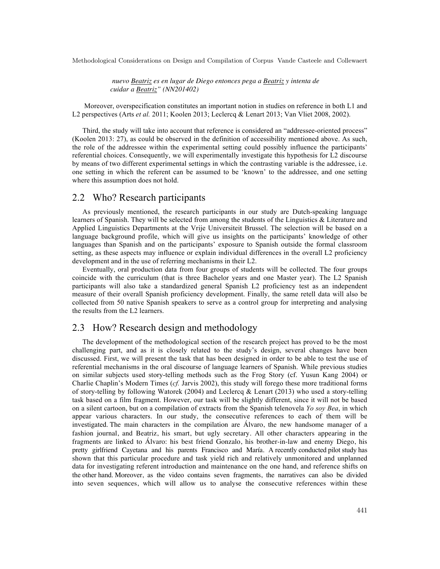*nuevo Beatriz es en lugar de Diego entonces pega a Beatriz y intenta de cuidar a Beatriz" (NN201402)*

Moreover, overspecification constitutes an important notion in studies on reference in both L1 and L2 perspectives (Arts *et al.* 2011; Koolen 2013; Leclercq & Lenart 2013; Van Vliet 2008, 2002).

Third, the study will take into account that reference is considered an "addressee-oriented process" (Koolen 2013: 27), as could be observed in the definition of accessibility mentioned above. As such, the role of the addressee within the experimental setting could possibly influence the participants' referential choices. Consequently, we will experimentally investigate this hypothesis for L2 discourse by means of two different experimental settings in which the contrasting variable is the addressee, i.e. one setting in which the referent can be assumed to be 'known' to the addressee, and one setting where this assumption does not hold.

### 2.2 Who? Research participants

As previously mentioned, the research participants in our study are Dutch-speaking language learners of Spanish. They will be selected from among the students of the Linguistics & Literature and Applied Linguistics Departments at the Vrije Universiteit Brussel. The selection will be based on a language background profile, which will give us insights on the participants' knowledge of other languages than Spanish and on the participants' exposure to Spanish outside the formal classroom setting, as these aspects may influence or explain individual differences in the overall L2 proficiency development and in the use of referring mechanisms in their L2.

Eventually, oral production data from four groups of students will be collected. The four groups coincide with the curriculum (that is three Bachelor years and one Master year). The L2 Spanish participants will also take a standardized general Spanish L2 proficiency test as an independent measure of their overall Spanish proficiency development. Finally, the same retell data will also be collected from 50 native Spanish speakers to serve as a control group for interpreting and analysing the results from the L2 learners.

### 2.3 How? Research design and methodology

The development of the methodological section of the research project has proved to be the most challenging part, and as it is closely related to the study's design, several changes have been discussed. First, we will present the task that has been designed in order to be able to test the use of referential mechanisms in the oral discourse of language learners of Spanish. While previous studies on similar subjects used story-telling methods such as the Frog Story (cf. Yusun Kang 2004) or Charlie Chaplin's Modern Times (*cf.* Jarvis 2002), this study will forego these more traditional forms of story-telling by following Watorek (2004) and Leclercq & Lenart (2013) who used a story-telling task based on a film fragment. However, our task will be slightly different, since it will not be based on a silent cartoon, but on a compilation of extracts from the Spanish telenovela *Yo soy Bea*, in which appear various characters. In our study, the consecutive references to each of them will be investigated. The main characters in the compilation are Álvaro, the new handsome manager of a fashion journal, and Beatriz, his smart, but ugly secretary. All other characters appearing in the fragments are linked to Álvaro: his best friend Gonzalo, his brother-in-law and enemy Diego, his pretty girlfriend Cayetana and his parents Francisco and María. A recently conducted pilot study has shown that this particular procedure and task yield rich and relatively unmonitored and unplanned data for investigating referent introduction and maintenance on the one hand, and reference shifts on the other hand. Moreover, as the video contains seven fragments, the narratives can also be divided into seven sequences, which will allow us to analyse the consecutive references within these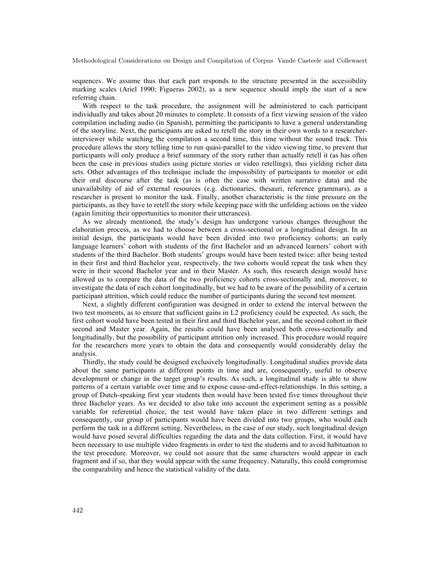sequences. We assume thus that each part responds to the structure presented in the accessibility marking scales (Ariel 1990; Figueras 2002), as a new sequence should imply the start of a new referring chain.

With respect to the task procedure, the assignment will be administered to each participant individually and takes about 20 minutes to complete. It consists of a first viewing session of the video compilation including audio (in Spanish), permitting the participants to have a general understanding of the storyline. Next, the participants are asked to retell the story in their own words to a researcherinterviewer while watching the compilation a second time, this time without the sound track. This procedure allows the story telling time to run quasi-parallel to the video viewing time, to prevent that participants will only produce a brief summary of the story rather than actually retell it (as has often been the case in previous studies using picture stories or video retellings), thus yielding richer data sets. Other advantages of this technique include the impossibility of participants to monitor or edit their oral discourse after the task (as is often the case with written narrative data) and the unavailability of aid of external resources (e.g. dictionaries, thesauri, reference grammars), as a researcher is present to monitor the task. Finally, another characteristic is the time pressure on the participants, as they have to retell the story while keeping pace with the unfolding actions on the video (again limiting their opportunities to monitor their utterances).

As we already mentioned, the study's design has undergone various changes throughout the elaboration process, as we had to choose between a cross-sectional or a longitudinal design. In an initial design, the participants would have been divided into two proficiency cohorts: an early language learners' cohort with students of the first Bachelor and an advanced learners' cohort with students of the third Bachelor. Both students' groups would have been tested twice: after being tested in their first and third Bachelor year, respectively, the two cohorts would repeat the task when they were in their second Bachelor year and in their Master. As such, this research design would have allowed us to compare the data of the two proficiency cohorts cross-sectionally and, moreover, to investigate the data of each cohort longitudinally, but we had to be aware of the possibility of a certain participant attrition, which could reduce the number of participants during the second test moment.

Next, a slightly different configuration was designed in order to extend the interval between the two test moments, as to ensure that sufficient gains in L2 proficiency could be expected. As such, the first cohort would have been tested in their first and third Bachelor year, and the second cohort in their second and Master year. Again, the results could have been analysed both cross-sectionally and longitudinally, but the possibility of participant attrition only increased. This procedure would require for the researchers more years to obtain the data and consequently would considerably delay the analysis.

Thirdly, the study could be designed exclusively longitudinally. Longitudinal studies provide data about the same participants at different points in time and are, consequently, useful to observe development or change in the target group's results. As such, a longitudinal study is able to show patterns of a certain variable over time and to expose cause-and-effect-relationships. In this setting, a group of Dutch-speaking first year students then would have been tested five times throughout their three Bachelor years. As we decided to also take into account the experiment setting as a possible variable for referential choice, the test would have taken place in two different settings and consequently, our group of participants would have been divided into two groups, who would each perform the task in a different setting. Nevertheless, in the case of our study, such longitudinal design would have posed several difficulties regarding the data and the data collection. First, it would have been necessary to use multiple video fragments in order to test the students and to avoid habituation to the test procedure. Moreover, we could not assure that the same characters would appear in each fragment and if so, that they would appear with the same frequency. Naturally, this could compromise the comparability and hence the statistical validity of the data.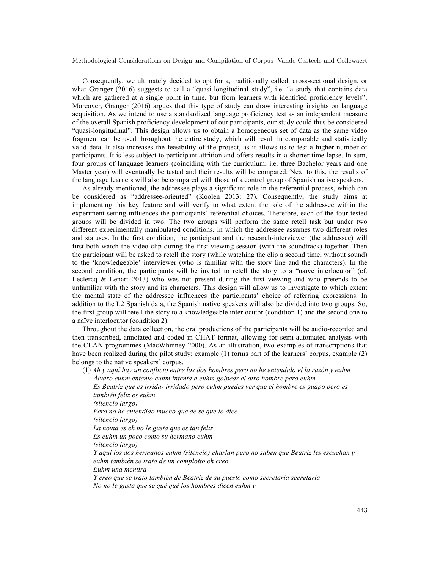Consequently, we ultimately decided to opt for a, traditionally called, cross-sectional design, or what Granger (2016) suggests to call a "quasi-longitudinal study", i.e. "a study that contains data which are gathered at a single point in time, but from learners with identified proficiency levels". Moreover, Granger (2016) argues that this type of study can draw interesting insights on language acquisition. As we intend to use a standardized language proficiency test as an independent measure of the overall Spanish proficiency development of our participants, our study could thus be considered "quasi-longitudinal". This design allows us to obtain a homogeneous set of data as the same video fragment can be used throughout the entire study, which will result in comparable and statistically valid data. It also increases the feasibility of the project, as it allows us to test a higher number of participants. It is less subject to participant attrition and offers results in a shorter time-lapse. In sum, four groups of language learners (coinciding with the curriculum, i.e. three Bachelor years and one Master year) will eventually be tested and their results will be compared. Next to this, the results of the language learners will also be compared with those of a control group of Spanish native speakers.

As already mentioned, the addressee plays a significant role in the referential process, which can be considered as "addressee-oriented" (Koolen 2013: 27). Consequently, the study aims at implementing this key feature and will verify to what extent the role of the addressee within the experiment setting influences the participants' referential choices. Therefore, each of the four tested groups will be divided in two. The two groups will perform the same retell task but under two different experimentally manipulated conditions, in which the addressee assumes two different roles and statuses. In the first condition, the participant and the research-interviewer (the addressee) will first both watch the video clip during the first viewing session (with the soundtrack) together. Then the participant will be asked to retell the story (while watching the clip a second time, without sound) to the 'knowledgeable' interviewer (who is familiar with the story line and the characters). In the second condition, the participants will be invited to retell the story to a "naïve interlocutor" (cf. Leclercq  $\&$  Lenart 2013) who was not present during the first viewing and who pretends to be unfamiliar with the story and its characters. This design will allow us to investigate to which extent the mental state of the addressee influences the participants' choice of referring expressions. In addition to the L2 Spanish data, the Spanish native speakers will also be divided into two groups. So, the first group will retell the story to a knowledgeable interlocutor (condition 1) and the second one to a naïve interlocutor (condition 2).

Throughout the data collection, the oral productions of the participants will be audio-recorded and then transcribed, annotated and coded in CHAT format, allowing for semi-automated analysis with the CLAN programmes (MacWhinney 2000). As an illustration, two examples of transcriptions that have been realized during the pilot study: example (1) forms part of the learners' corpus, example (2) belongs to the native speakers' corpus.

(1) *Ah y aquí hay un conflicto entre los dos hombres pero no he entendido el la razón y euhm Álvaro euhm entento euhm intenta a euhm golpear el otro hombre pero euhm* 

 *Es Beatriz que es irrida- irridado pero euhm puedes ver que el hombre es guapo pero es también feliz es euhm (silencio largo) Pero no he entendido mucho que de se que lo dice (silencio largo) La novia es eh no le gusta que es tan feliz Es euhm un poco como su hermano euhm (silencio largo) Y aquí los dos hermanos euhm (silencio) charlan pero no saben que Beatriz les escuchan y euhm también se trato de un complotto eh creo Euhm una mentira Y creo que se trato también de Beatriz de su puesto como secretaria secretaría* 

 *No no le gusta que se qué qué los hombres dicen euhm y*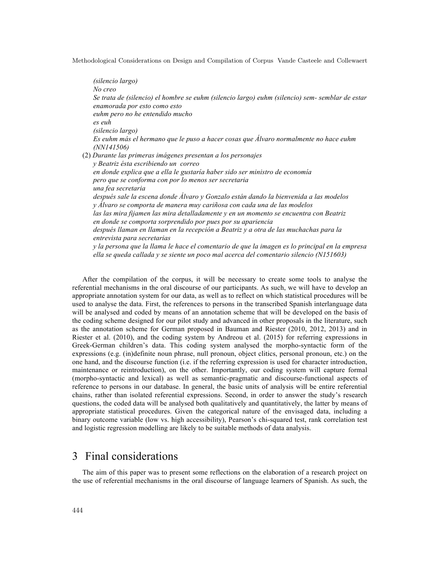*(silencio largo) No creo Se trata de (silencio) el hombre se euhm (silencio largo) euhm (silencio) sem- semblar de estar enamorada por esto como esto euhm pero no he entendido mucho es euh (silencio largo) Es euhm más el hermano que le puso a hacer cosas que Álvaro normalmente no hace euhm (NN141506)* (2) *Durante las primeras imágenes presentan a los personajes y Beatriz ésta escribiendo un correo en donde explica que a ella le gustaría haber sido ser ministro de economía pero que se conforma con por lo menos ser secretaria una fea secretaria después sale la escena donde Álvaro y Gonzalo están dando la bienvenida a las modelos y Álvaro se comporta de manera muy cariñosa con cada una de las modelos las las mira fijamen las mira detalladamente y en un momento se encuentra con Beatriz en donde se comporta sorprendido por pues por su apariencia después llaman en llaman en la recepción a Beatriz y a otra de las muchachas para la entrevista para secretarias y la persona que la llama le hace el comentario de que la imagen es lo principal en la empresa ella se queda callada y se siente un poco mal acerca del comentario silencio (N151603)*

After the compilation of the corpus, it will be necessary to create some tools to analyse the referential mechanisms in the oral discourse of our participants. As such, we will have to develop an appropriate annotation system for our data, as well as to reflect on which statistical procedures will be used to analyse the data. First, the references to persons in the transcribed Spanish interlanguage data will be analysed and coded by means of an annotation scheme that will be developed on the basis of the coding scheme designed for our pilot study and advanced in other proposals in the literature, such as the annotation scheme for German proposed in Bauman and Riester (2010, 2012, 2013) and in Riester et al. (2010), and the coding system by Andreou et al. (2015) for referring expressions in Greek-German children's data. This coding system analysed the morpho-syntactic form of the expressions (e.g. (in)definite noun phrase, null pronoun, object clitics, personal pronoun, etc.) on the one hand, and the discourse function (i.e. if the referring expression is used for character introduction, maintenance or reintroduction), on the other. Importantly, our coding system will capture formal (morpho-syntactic and lexical) as well as semantic-pragmatic and discourse-functional aspects of reference to persons in our database. In general, the basic units of analysis will be entire referential chains, rather than isolated referential expressions. Second, in order to answer the study's research questions, the coded data will be analysed both qualitatively and quantitatively, the latter by means of appropriate statistical procedures. Given the categorical nature of the envisaged data, including a binary outcome variable (low vs. high accessibility), Pearson's chi-squared test, rank correlation test and logistic regression modelling are likely to be suitable methods of data analysis.

## 3 Final considerations

The aim of this paper was to present some reflections on the elaboration of a research project on the use of referential mechanisms in the oral discourse of language learners of Spanish. As such, the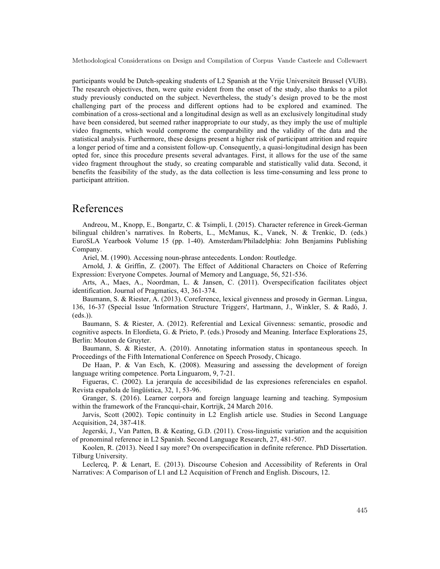participants would be Dutch-speaking students of L2 Spanish at the Vrije Universiteit Brussel (VUB). The research objectives, then, were quite evident from the onset of the study, also thanks to a pilot study previously conducted on the subject. Nevertheless, the study's design proved to be the most challenging part of the process and different options had to be explored and examined. The combination of a cross-sectional and a longitudinal design as well as an exclusively longitudinal study have been considered, but seemed rather inappropriate to our study, as they imply the use of multiple video fragments, which would comprome the comparability and the validity of the data and the statistical analysis. Furthermore, these designs present a higher risk of participant attrition and require a longer period of time and a consistent follow-up. Consequently, a quasi-longitudinal design has been opted for, since this procedure presents several advantages. First, it allows for the use of the same video fragment throughout the study, so creating comparable and statistically valid data. Second, it benefits the feasibility of the study, as the data collection is less time-consuming and less prone to participant attrition.

## References

Andreou, M., Knopp, E., Bongartz, C. & Tsimpli, I. (2015). Character reference in Greek-German bilingual children's narratives. In Roberts, L., McManus, K., Vanek, N. & Trenkic, D. (eds.) EuroSLA Yearbook Volume 15 (pp. 1-40). Amsterdam/Philadelphia: John Benjamins Publishing Company.

Ariel, M. (1990). Accessing noun-phrase antecedents. London: Routledge.

Arnold, J. & Griffin, Z. (2007). The Effect of Additional Characters on Choice of Referring Expression: Everyone Competes. Journal of Memory and Language, 56, 521-536.

Arts, A., Maes, A., Noordman, L. & Jansen, C. (2011). Overspecification facilitates object identification. Journal of Pragmatics, 43, 361-374.

Baumann, S. & Riester, A. (2013). Coreference, lexical givenness and prosody in German. Lingua, 136, 16-37 (Special Issue 'Information Structure Triggers', Hartmann, J., Winkler, S. & Radó, J. (eds.)).

Baumann, S. & Riester, A. (2012). Referential and Lexical Givenness: semantic, prosodic and cognitive aspects. In Elordieta, G. & Prieto, P. (eds.) Prosody and Meaning. Interface Explorations 25, Berlin: Mouton de Gruyter.

Baumann, S. & Riester, A. (2010). Annotating information status in spontaneous speech. In Proceedings of the Fifth International Conference on Speech Prosody, Chicago.

De Haan, P. & Van Esch, K. (2008). Measuring and assessing the development of foreign language writing competence. Porta Linguarom, 9, 7-21.

Figueras, C. (2002). La jerarquía de accesibilidad de las expresiones referenciales en español. Revista española de lingüística, 32, 1, 53-96.

Granger, S. (2016). Learner corpora and foreign language learning and teaching. Symposium within the framework of the Francqui-chair, Kortrijk, 24 March 2016.

Jarvis, Scott (2002). Topic continuity in L2 English article use. Studies in Second Language Acquisition, 24, 387-418.

Jegerski, J., Van Patten, B. & Keating, G.D. (2011). Cross-linguistic variation and the acquisition of pronominal reference in L2 Spanish. Second Language Research, 27, 481-507.

Koolen, R. (2013). Need I say more? On overspecification in definite reference. PhD Dissertation. Tilburg University.

Leclercq, P. & Lenart, E. (2013). Discourse Cohesion and Accessibility of Referents in Oral Narratives: A Comparison of L1 and L2 Acquisition of French and English. Discours, 12.